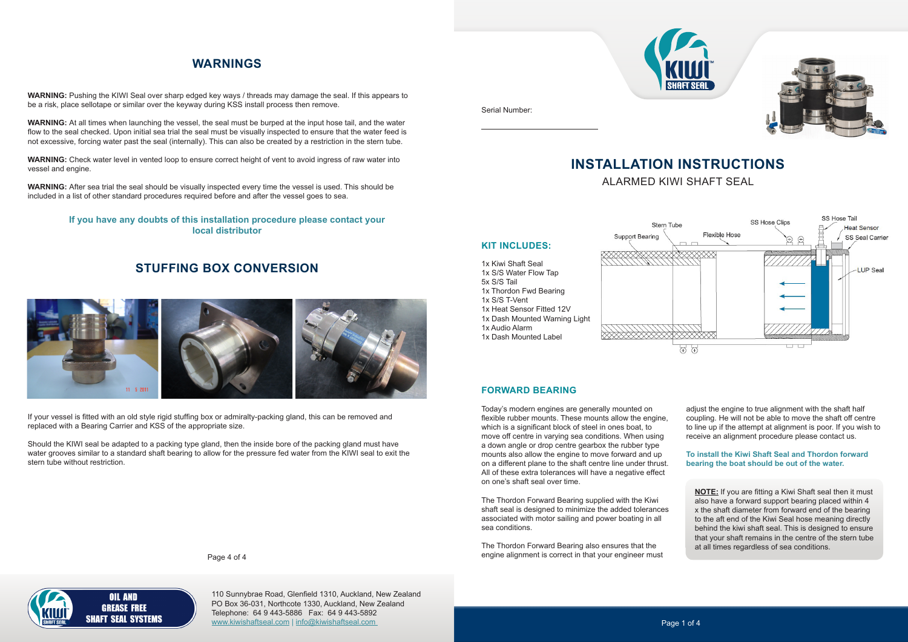# **INSTALLATION INSTRUCTIONS** ALARMED KIWI SHAFT SEAL

5x S/S Tail

1x S/S T-Vent



Today's modern engines are generally mounted on flexible rubber mounts. These mounts allow the engine, which is a significant block of steel in ones boat, to move off centre in varying sea conditions. When using a down angle or drop centre gearbox the rubber type mounts also allow the engine to move forward and up on a different plane to the shaft centre line under thrust. All of these extra tolerances will have a negative effect on one's shaft seal over time.

The Thordon Forward Bearing supplied with the Kiwi shaft seal is designed to minimize the added tolerances associated with motor sailing and power boating in all sea conditions.

The Thordon Forward Bearing also ensures that the engine alignment is correct in that your engineer must

adjust the engine to true alignment with the shaft half coupling. He will not be able to move the shaft off centre to line up if the attempt at alignment is poor. If you wish to receive an alignment procedure please contact us.

#### **To install the Kiwi Shaft Seal and Thordon forward bearing the boat should be out of the water.**

**FORWARD BEARING**

**NOTE:** If you are fitting a Kiwi Shaft seal then it must also have a forward support bearing placed within 4 x the shaft diameter from forward end of the bearing to the aft end of the Kiwi Seal hose meaning directly behind the kiwi shaft seal. This is designed to ensure that your shaft remains in the centre of the stern tube at all times regardless of sea conditions.

Serial Number:



Page 4 of 4

### **OIL AND GREASE FREE SHAFT SEAL SYSTEMS**

#### **If you have any doubts of this installation procedure please contact your local distributor**

### **WARNINGS**

**WARNING:** Pushing the KIWI Seal over sharp edged key ways / threads may damage the seal. If this appears to be a risk, place sellotape or similar over the keyway during KSS install process then remove.

**WARNING:** At all times when launching the vessel, the seal must be burped at the input hose tail, and the water flow to the seal checked. Upon initial sea trial the seal must be visually inspected to ensure that the water feed is not excessive, forcing water past the seal (internally). This can also be created by a restriction in the stern tube.

**WARNING:** Check water level in vented loop to ensure correct height of vent to avoid ingress of raw water into vessel and engine.

**WARNING:** After sea trial the seal should be visually inspected every time the vessel is used. This should be included in a list of other standard procedures required before and after the vessel goes to sea.

### **STUFFING BOX CONVERSION**



If your vessel is fitted with an old style rigid stuffing box or admiralty-packing gland, this can be removed and replaced with a Bearing Carrier and KSS of the appropriate size.

Should the KIWI seal be adapted to a packing type gland, then the inside bore of the packing gland must have water grooves similar to a standard shaft bearing to allow for the pressure fed water from the KIWI seal to exit the stern tube without restriction.

> 110 Sunnybrae Road, Glenfield 1310, Auckland, New Zealand PO Box 36-031, Northcote 1330, Auckland, New Zealand Telephone: 64 9 443-5886 Fax: 64 9 443-5892 www.kiwishaftseal.com | info@kiwishaftseal.com